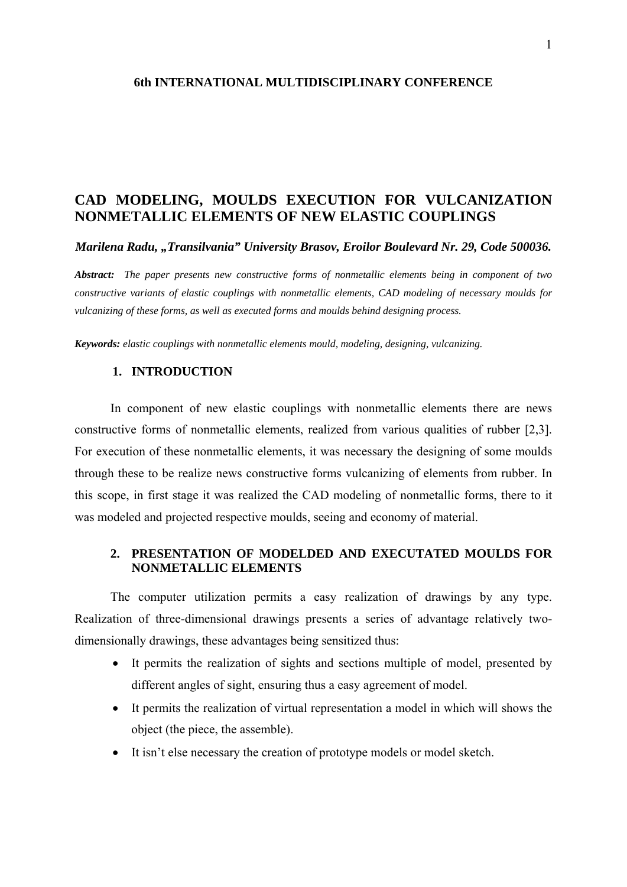# **CAD MODELING, MOULDS EXECUTION FOR VULCANIZATION NONMETALLIC ELEMENTS OF NEW ELASTIC COUPLINGS**

*Marilena Radu, "Transilvania" University Brasov, Eroilor Boulevard Nr. 29, Code 500036.* 

*Abstract: The paper presents new constructive forms of nonmetallic elements being in component of two constructive variants of elastic couplings with nonmetallic elements, CAD modeling of necessary moulds for vulcanizing of these forms, as well as executed forms and moulds behind designing process.* 

*Keywords: elastic couplings with nonmetallic elements mould, modeling, designing, vulcanizing.* 

#### **1. INTRODUCTION**

In component of new elastic couplings with nonmetallic elements there are news constructive forms of nonmetallic elements, realized from various qualities of rubber [2,3]. For execution of these nonmetallic elements, it was necessary the designing of some moulds through these to be realize news constructive forms vulcanizing of elements from rubber. In this scope, in first stage it was realized the CAD modeling of nonmetallic forms, there to it was modeled and projected respective moulds, seeing and economy of material.

## **2. PRESENTATION OF MODELDED AND EXECUTATED MOULDS FOR NONMETALLIC ELEMENTS**

The computer utilization permits a easy realization of drawings by any type. Realization of three-dimensional drawings presents a series of advantage relatively twodimensionally drawings, these advantages being sensitized thus:

- It permits the realization of sights and sections multiple of model, presented by different angles of sight, ensuring thus a easy agreement of model.
- It permits the realization of virtual representation a model in which will shows the object (the piece, the assemble).
- It isn't else necessary the creation of prototype models or model sketch.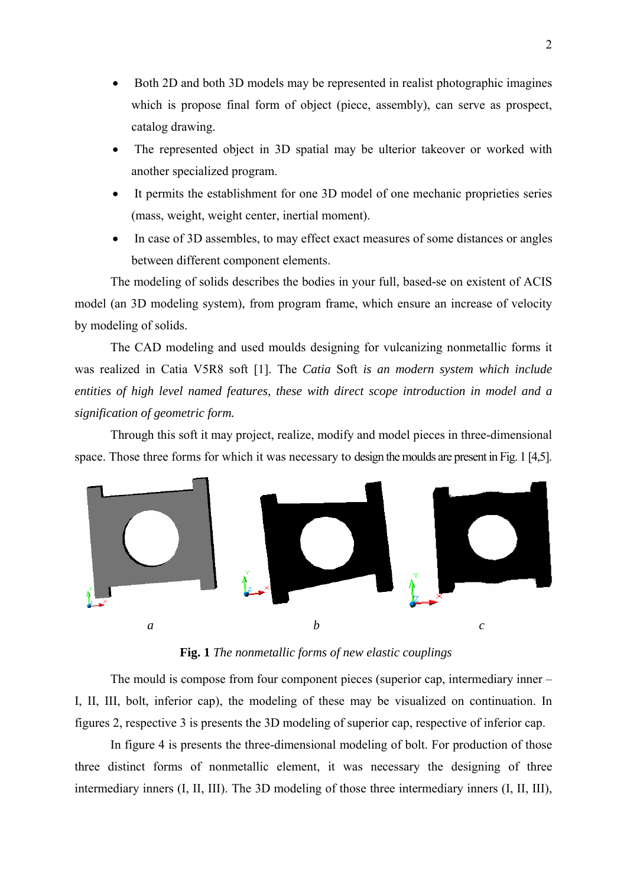- Both 2D and both 3D models may be represented in realist photographic imagines which is propose final form of object (piece, assembly), can serve as prospect, catalog drawing.
- The represented object in 3D spatial may be ulterior takeover or worked with another specialized program.
- It permits the establishment for one 3D model of one mechanic proprieties series (mass, weight, weight center, inertial moment).
- In case of 3D assembles, to may effect exact measures of some distances or angles between different component elements.

The modeling of solids describes the bodies in your full, based-se on existent of ACIS model (an 3D modeling system), from program frame, which ensure an increase of velocity by modeling of solids.

The CAD modeling and used moulds designing for vulcanizing nonmetallic forms it was realized in Catia V5R8 soft [1]. The *Catia* Soft *is an modern system which include entities of high level named features, these with direct scope introduction in model and a signification of geometric form.* 

Through this soft it may project, realize, modify and model pieces in three-dimensional space. Those three forms for which it was necessary to design the moulds are present in Fig. 1 [4,5].



**Fig. 1** *The nonmetallic forms of new elastic couplings*

The mould is compose from four component pieces (superior cap, intermediary inner – I, II, III, bolt, inferior cap), the modeling of these may be visualized on continuation. In figures 2, respective 3 is presents the 3D modeling of superior cap, respective of inferior cap.

In figure 4 is presents the three-dimensional modeling of bolt. For production of those three distinct forms of nonmetallic element, it was necessary the designing of three intermediary inners (I, II, III). The 3D modeling of those three intermediary inners (I, II, III),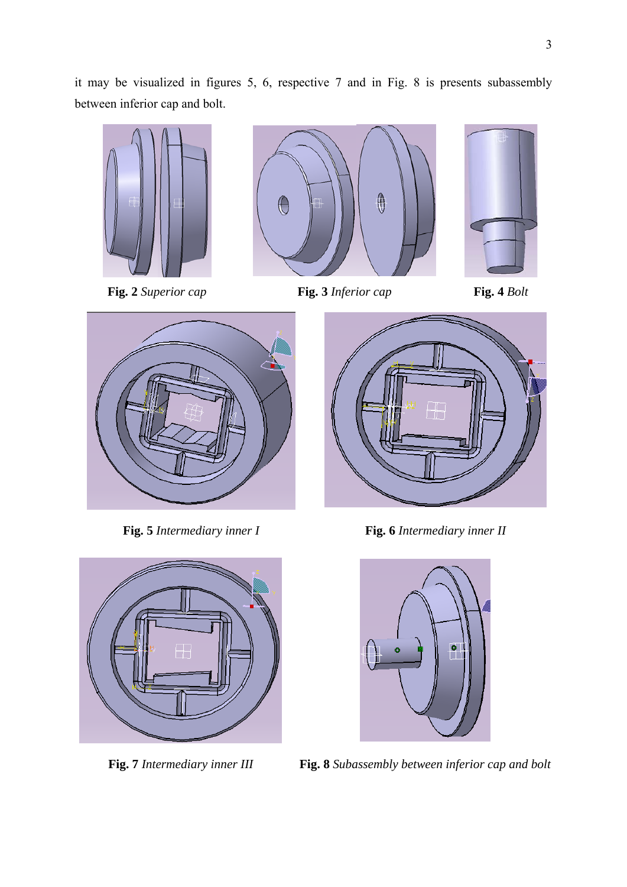it may be visualized in figures 5, 6, respective 7 and in Fig. 8 is presents subassembly between inferior cap and bolt.





**Fig. 2** *Superior cap* **Fig. 3** *Inferior cap* **Fig. 4** *Bolt* 







**Fig. 5** *Intermediary inner I* **Fig. 6** *Intermediary inner II*



**Fig. 7** *Intermediary inner III* **Fig. 8** *Subassembly between inferior cap and bolt*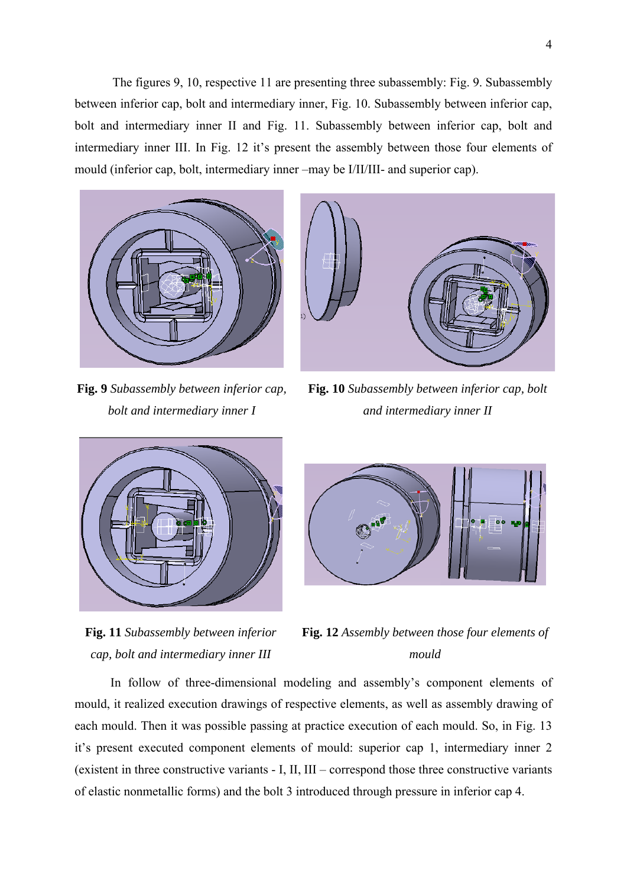The figures 9, 10, respective 11 are presenting three subassembly: Fig. 9. Subassembly between inferior cap, bolt and intermediary inner, Fig. 10. Subassembly between inferior cap, bolt and intermediary inner II and Fig. 11. Subassembly between inferior cap, bolt and intermediary inner III. In Fig. 12 it's present the assembly between those four elements of mould (inferior cap, bolt, intermediary inner –may be I/II/III- and superior cap).



**Fig. 9** *Subassembly between inferior cap, bolt and intermediary inner I*



**Fig. 10** *Subassembly between inferior cap, bolt and intermediary inner II*



**Fig. 11** *Subassembly between inferior cap, bolt and intermediary inner III*



**Fig. 12** *Assembly between those four elements of mould*

In follow of three-dimensional modeling and assembly's component elements of mould, it realized execution drawings of respective elements, as well as assembly drawing of each mould. Then it was possible passing at practice execution of each mould. So, in Fig. 13 it's present executed component elements of mould: superior cap 1, intermediary inner 2 (existent in three constructive variants - I, II, III – correspond those three constructive variants of elastic nonmetallic forms) and the bolt 3 introduced through pressure in inferior cap 4.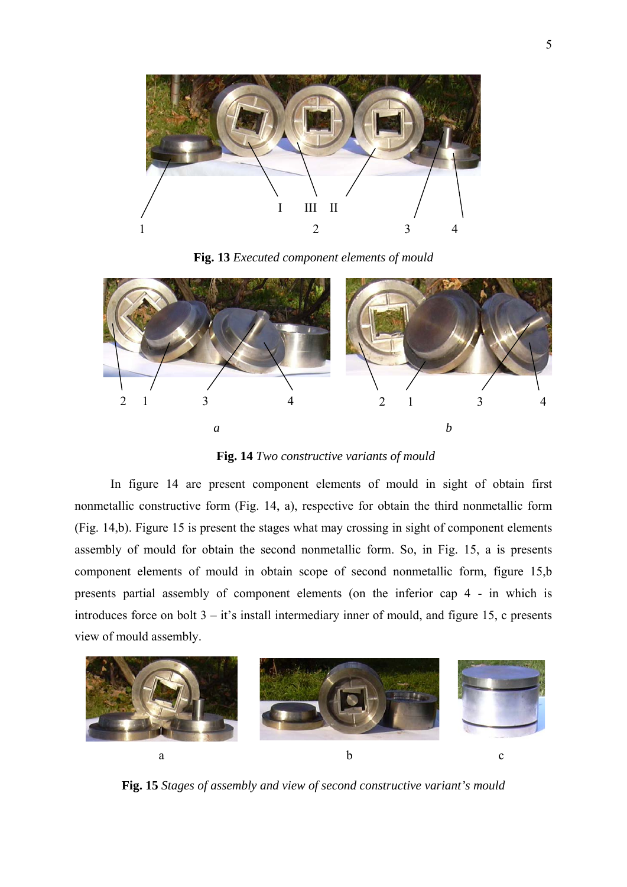

**Fig. 13** *Executed component elements of mould*



**Fig. 14** *Two constructive variants of mould* 

In figure 14 are present component elements of mould in sight of obtain first nonmetallic constructive form (Fig. 14, a), respective for obtain the third nonmetallic form (Fig. 14,b). Figure 15 is present the stages what may crossing in sight of component elements assembly of mould for obtain the second nonmetallic form. So, in Fig. 15, a is presents component elements of mould in obtain scope of second nonmetallic form, figure 15,b presents partial assembly of component elements (on the inferior cap 4 - in which is introduces force on bolt 3 – it's install intermediary inner of mould, and figure 15, c presents view of mould assembly.



**Fig. 15** *Stages of assembly and view of second constructive variant's mould*